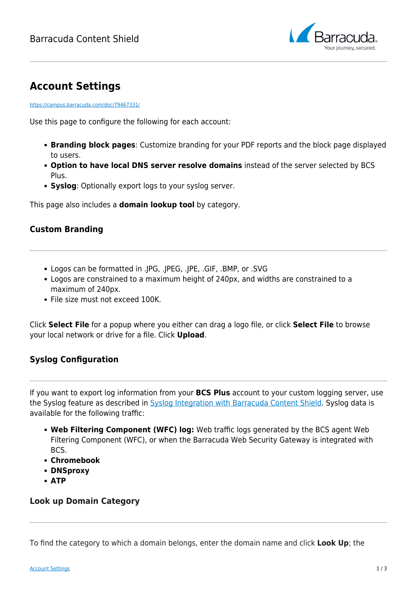

# **Account Settings**

<https://campus.barracuda.com/doc/79467331/>

Use this page to configure the following for each account:

- **Branding block pages**: Customize branding for your PDF reports and the block page displayed to users.
- **Option to have local DNS server resolve domains** instead of the server selected by BCS Plus.
- **Syslog**: Optionally export logs to your syslog server.

This page also includes a **domain lookup tool** by category.

#### **Custom Branding**

- Logos can be formatted in .JPG, .JPEG, .JPE, .GIF, .BMP, or .SVG
- Logos are constrained to a maximum height of 240px, and widths are constrained to a maximum of 240px.
- File size must not exceed 100K.

Click **Select File** for a popup where you either can drag a logo file, or click **Select File** to browse your local network or drive for a file. Click **Upload**.

### **Syslog Configuration**

If you want to export log information from your **BCS Plus** account to your custom logging server, use the Syslog feature as described in [Syslog Integration with Barracuda Content Shield](http://campus.barracuda.com/doc/92766352/). Syslog data is available for the following traffic:

- **Web Filtering Component (WFC) log:** Web traffic logs generated by the BCS agent Web Filtering Component (WFC), or when the Barracuda Web Security Gateway is integrated with BCS.
- **Chromebook**
- **DNSproxy**
- **ATP**

#### **Look up Domain Category**

To find the category to which a domain belongs, enter the domain name and click **Look Up**; the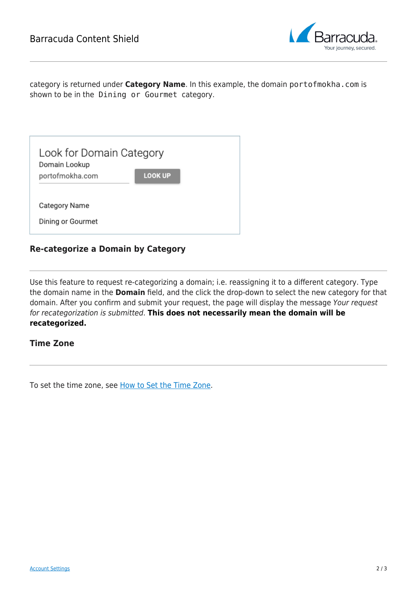

category is returned under **Category Name**. In this example, the domain portofmokha.com is shown to be in the Dining or Gourmet category.

| Look for Domain Category<br>Domain Lookup |                |  |
|-------------------------------------------|----------------|--|
| portofmokha.com                           | <b>LOOK UP</b> |  |
|                                           |                |  |
| <b>Category Name</b>                      |                |  |
| Dining or Gourmet                         |                |  |

#### **Re-categorize a Domain by Category**

Use this feature to request re-categorizing a domain; i.e. reassigning it to a different category. Type the domain name in the **Domain** field, and the click the drop-down to select the new category for that domain. After you confirm and submit your request, the page will display the message Your request for recategorization is submitted. **This does not necessarily mean the domain will be recategorized.**

#### **Time Zone**

To set the time zone, see [How to Set the Time Zone.](http://campus.barracuda.com/doc/94541058/)